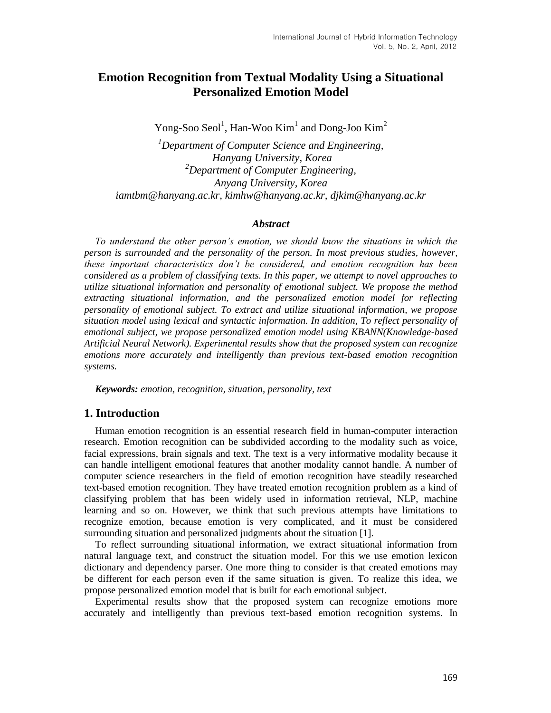# **Emotion Recognition from Textual Modality Using a Situational Personalized Emotion Model**

Yong-Soo Seol<sup>1</sup>, Han-Woo Kim<sup>1</sup> and Dong-Joo Kim<sup>2</sup>

*<sup>1</sup>Department of Computer Science and Engineering, Hanyang University, Korea <sup>2</sup>Department of Computer Engineering, Anyang University, Korea iamtbm@hanyang.ac.kr, kimhw@hanyang.ac.kr, djkim@hanyang.ac.kr*

### *Abstract*

*To understand the other person's emotion, we should know the situations in which the person is surrounded and the personality of the person. In most previous studies, however, these important characteristics don't be considered, and emotion recognition has been considered as a problem of classifying texts. In this paper, we attempt to novel approaches to utilize situational information and personality of emotional subject. We propose the method extracting situational information, and the personalized emotion model for reflecting personality of emotional subject. To extract and utilize situational information, we propose situation model using lexical and syntactic information. In addition, To reflect personality of emotional subject, we propose personalized emotion model using KBANN(Knowledge-based Artificial Neural Network). Experimental results show that the proposed system can recognize emotions more accurately and intelligently than previous text-based emotion recognition systems.*

*Keywords: emotion, recognition, situation, personality, text* 

### **1. Introduction**

Human emotion recognition is an essential research field in human-computer interaction research. Emotion recognition can be subdivided according to the modality such as voice, facial expressions, brain signals and text. The text is a very informative modality because it can handle intelligent emotional features that another modality cannot handle. A number of computer science researchers in the field of emotion recognition have steadily researched text-based emotion recognition. They have treated emotion recognition problem as a kind of classifying problem that has been widely used in information retrieval, NLP, machine learning and so on. However, we think that such previous attempts have limitations to recognize emotion, because emotion is very complicated, and it must be considered surrounding situation and personalized judgments about the situation [1].

To reflect surrounding situational information, we extract situational information from natural language text, and construct the situation model. For this we use emotion lexicon dictionary and dependency parser. One more thing to consider is that created emotions may be different for each person even if the same situation is given. To realize this idea, we propose personalized emotion model that is built for each emotional subject.

Experimental results show that the proposed system can recognize emotions more accurately and intelligently than previous text-based emotion recognition systems. In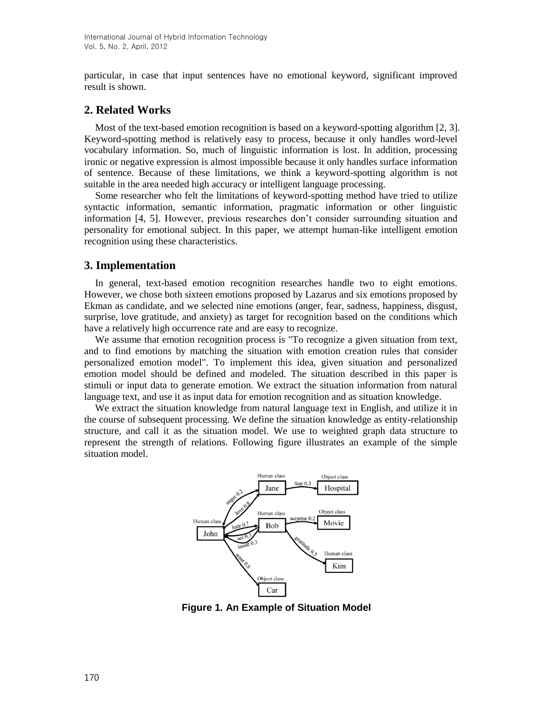particular, in case that input sentences have no emotional keyword, significant improved result is shown.

## **2. Related Works**

Most of the text-based emotion recognition is based on a keyword-spotting algorithm [2, 3]. Keyword-spotting method is relatively easy to process, because it only handles word-level vocabulary information. So, much of linguistic information is lost. In addition, processing ironic or negative expression is almost impossible because it only handles surface information of sentence. Because of these limitations, we think a keyword-spotting algorithm is not suitable in the area needed high accuracy or intelligent language processing.

Some researcher who felt the limitations of keyword-spotting method have tried to utilize syntactic information, semantic information, pragmatic information or other linguistic information [4, 5]. However, previous researches don't consider surrounding situation and personality for emotional subject. In this paper, we attempt human-like intelligent emotion recognition using these characteristics.

## **3. Implementation**

In general, text-based emotion recognition researches handle two to eight emotions. However, we chose both sixteen emotions proposed by Lazarus and six emotions proposed by Ekman as candidate, and we selected nine emotions (anger, fear, sadness, happiness, disgust, surprise, love gratitude, and anxiety) as target for recognition based on the conditions which have a relatively high occurrence rate and are easy to recognize.

We assume that emotion recognition process is "To recognize a given situation from text, and to find emotions by matching the situation with emotion creation rules that consider personalized emotion model". To implement this idea, given situation and personalized emotion model should be defined and modeled. The situation described in this paper is stimuli or input data to generate emotion. We extract the situation information from natural language text, and use it as input data for emotion recognition and as situation knowledge.

We extract the situation knowledge from natural language text in English, and utilize it in the course of subsequent processing. We define the situation knowledge as entity-relationship structure, and call it as the situation model. We use to weighted graph data structure to represent the strength of relations. Following figure illustrates an example of the simple situation model.



**Figure 1. An Example of Situation Model**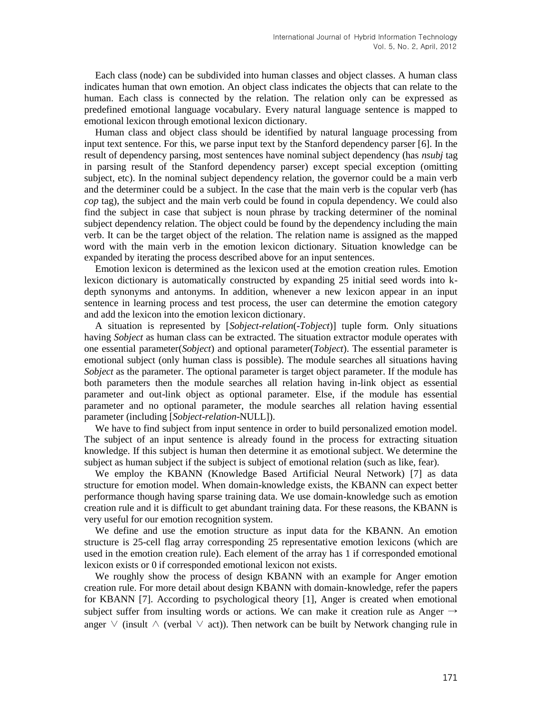Each class (node) can be subdivided into human classes and object classes. A human class indicates human that own emotion. An object class indicates the objects that can relate to the human. Each class is connected by the relation. The relation only can be expressed as predefined emotional language vocabulary. Every natural language sentence is mapped to emotional lexicon through emotional lexicon dictionary.

Human class and object class should be identified by natural language processing from input text sentence. For this, we parse input text by the Stanford dependency parser [6]. In the result of dependency parsing, most sentences have nominal subject dependency (has *nsubj* tag in parsing result of the Stanford dependency parser) except special exception (omitting subject, etc). In the nominal subject dependency relation, the governor could be a main verb and the determiner could be a subject. In the case that the main verb is the copular verb (has *cop* tag), the subject and the main verb could be found in copula dependency. We could also find the subject in case that subject is noun phrase by tracking determiner of the nominal subject dependency relation. The object could be found by the dependency including the main verb. It can be the target object of the relation. The relation name is assigned as the mapped word with the main verb in the emotion lexicon dictionary. Situation knowledge can be expanded by iterating the process described above for an input sentences.

Emotion lexicon is determined as the lexicon used at the emotion creation rules. Emotion lexicon dictionary is automatically constructed by expanding 25 initial seed words into kdepth synonyms and antonyms. In addition, whenever a new lexicon appear in an input sentence in learning process and test process, the user can determine the emotion category and add the lexicon into the emotion lexicon dictionary.

A situation is represented by [*Sobject*-*relation*(-*Tobject*)] tuple form. Only situations having *Sobject* as human class can be extracted. The situation extractor module operates with one essential parameter(*Sobject*) and optional parameter(*Tobject*). The essential parameter is emotional subject (only human class is possible). The module searches all situations having *Sobject* as the parameter. The optional parameter is target object parameter. If the module has both parameters then the module searches all relation having in-link object as essential parameter and out-link object as optional parameter. Else, if the module has essential parameter and no optional parameter, the module searches all relation having essential parameter (including [*Sobject*-*relation*-NULL]).

We have to find subject from input sentence in order to build personalized emotion model. The subject of an input sentence is already found in the process for extracting situation knowledge. If this subject is human then determine it as emotional subject. We determine the subject as human subject if the subject is subject of emotional relation (such as like, fear).

We employ the KBANN (Knowledge Based Artificial Neural Network) [7] as data structure for emotion model. When domain-knowledge exists, the KBANN can expect better performance though having sparse training data. We use domain-knowledge such as emotion creation rule and it is difficult to get abundant training data. For these reasons, the KBANN is very useful for our emotion recognition system.

We define and use the emotion structure as input data for the KBANN. An emotion structure is 25-cell flag array corresponding 25 representative emotion lexicons (which are used in the emotion creation rule). Each element of the array has 1 if corresponded emotional lexicon exists or 0 if corresponded emotional lexicon not exists.

We roughly show the process of design KBANN with an example for Anger emotion creation rule. For more detail about design KBANN with domain-knowledge, refer the papers for KBANN [7]. According to psychological theory [1], Anger is created when emotional subject suffer from insulting words or actions. We can make it creation rule as Anger  $\rightarrow$ anger  $\vee$  (insult  $\wedge$  (verbal  $\vee$  act)). Then network can be built by Network changing rule in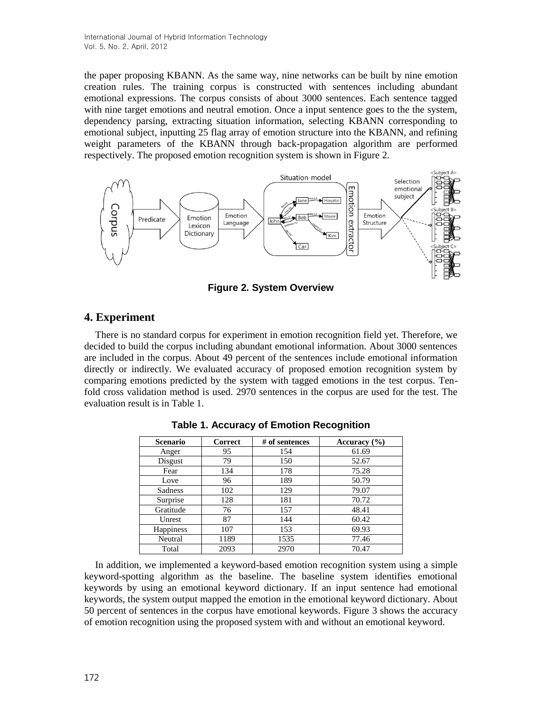the paper proposing KBANN. As the same way, nine networks can be built by nine emotion creation rules. The training corpus is constructed with sentences including abundant emotional expressions. The corpus consists of about 3000 sentences. Each sentence tagged with nine target emotions and neutral emotion. Once a input sentence goes to the the system, dependency parsing, extracting situation information, selecting KBANN corresponding to emotional subject, inputting 25 flag array of emotion structure into the KBANN, and refining weight parameters of the KBANN through back-propagation algorithm are performed respectively. The proposed emotion recognition system is shown in Figure 2.



**Figure 2. System Overview**

## **4. Experiment**

There is no standard corpus for experiment in emotion recognition field yet. Therefore, we decided to build the corpus including abundant emotional information. About 3000 sentences are included in the corpus. About 49 percent of the sentences include emotional information directly or indirectly. We evaluated accuracy of proposed emotion recognition system by comparing emotions predicted by the system with tagged emotions in the test corpus. Tenfold cross validation method is used. 2970 sentences in the corpus are used for the test. The evaluation result is in Table 1.

| <b>Scenario</b>  | Correct | # of sentences | Accuracy $(\% )$ |
|------------------|---------|----------------|------------------|
| Anger            | 95      | 154            | 61.69            |
| Disgust          | 79      | 150            | 52.67            |
| Fear             | 134     | 178            | 75.28            |
| Love             | 96      | 189            | 50.79            |
| <b>Sadness</b>   | 102     | 129            | 79.07            |
| Surprise         | 128     | 181            | 70.72            |
| Gratitude        | 76      | 157            | 48.41            |
| Unrest           | 87      | 144            | 60.42            |
| <b>Happiness</b> | 107     | 153            | 69.93            |
| Neutral          | 1189    | 1535           | 77.46            |
| Total            | 2093    | 2970           | 70.47            |

**Table 1. Accuracy of Emotion Recognition**

In addition, we implemented a keyword-based emotion recognition system using a simple keyword-spotting algorithm as the baseline. The baseline system identifies emotional keywords by using an emotional keyword dictionary. If an input sentence had emotional keywords, the system output mapped the emotion in the emotional keyword dictionary. About 50 percent of sentences in the corpus have emotional keywords. Figure 3 shows the accuracy of emotion recognition using the proposed system with and without an emotional keyword.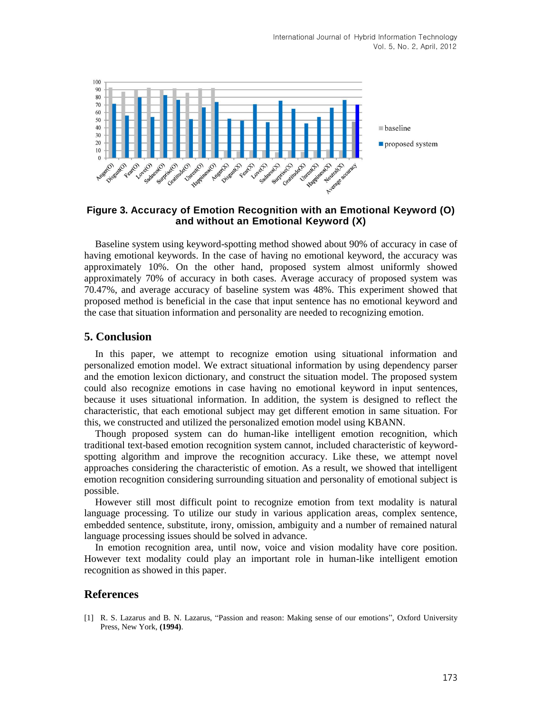

### **Figure 3. Accuracy of Emotion Recognition with an Emotional Keyword (O) and without an Emotional Keyword (X)**

Baseline system using keyword-spotting method showed about 90% of accuracy in case of having emotional keywords. In the case of having no emotional keyword, the accuracy was approximately 10%. On the other hand, proposed system almost uniformly showed approximately 70% of accuracy in both cases. Average accuracy of proposed system was 70.47%, and average accuracy of baseline system was 48%. This experiment showed that proposed method is beneficial in the case that input sentence has no emotional keyword and the case that situation information and personality are needed to recognizing emotion.

### **5. Conclusion**

In this paper, we attempt to recognize emotion using situational information and personalized emotion model. We extract situational information by using dependency parser and the emotion lexicon dictionary, and construct the situation model. The proposed system could also recognize emotions in case having no emotional keyword in input sentences, because it uses situational information. In addition, the system is designed to reflect the characteristic, that each emotional subject may get different emotion in same situation. For this, we constructed and utilized the personalized emotion model using KBANN.

Though proposed system can do human-like intelligent emotion recognition, which traditional text-based emotion recognition system cannot, included characteristic of keywordspotting algorithm and improve the recognition accuracy. Like these, we attempt novel approaches considering the characteristic of emotion. As a result, we showed that intelligent emotion recognition considering surrounding situation and personality of emotional subject is possible.

However still most difficult point to recognize emotion from text modality is natural language processing. To utilize our study in various application areas, complex sentence, embedded sentence, substitute, irony, omission, ambiguity and a number of remained natural language processing issues should be solved in advance.

In emotion recognition area, until now, voice and vision modality have core position. However text modality could play an important role in human-like intelligent emotion recognition as showed in this paper.

### **References**

[1] R. S. Lazarus and B. N. Lazarus, "Passion and reason: Making sense of our emotions", Oxford University Press, New York, **(1994)**.